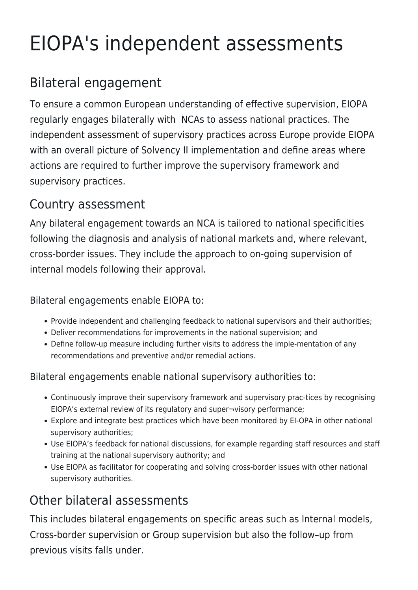# EIOPA's independent assessments

## Bilateral engagement

To ensure a common European understanding of effective supervision, EIOPA regularly engages bilaterally with NCAs to assess national practices. The independent assessment of supervisory practices across Europe provide EIOPA with an overall picture of Solvency II implementation and define areas where actions are required to further improve the supervisory framework and supervisory practices.

#### Country assessment

Any bilateral engagement towards an NCA is tailored to national specificities following the diagnosis and analysis of national markets and, where relevant, cross-border issues. They include the approach to on-going supervision of internal models following their approval.

#### Bilateral engagements enable EIOPA to:

- Provide independent and challenging feedback to national supervisors and their authorities;
- Deliver recommendations for improvements in the national supervision; and
- Define follow-up measure including further visits to address the imple-mentation of any recommendations and preventive and/or remedial actions.

Bilateral engagements enable national supervisory authorities to:

- Continuously improve their supervisory framework and supervisory prac-tices by recognising EIOPA's external review of its regulatory and super¬visory performance;
- Explore and integrate best practices which have been monitored by EI-OPA in other national supervisory authorities;
- Use EIOPA's feedback for national discussions, for example regarding staff resources and staff training at the national supervisory authority; and
- Use EIOPA as facilitator for cooperating and solving cross-border issues with other national supervisory authorities.

#### Other bilateral assessments

This includes bilateral engagements on specific areas such as Internal models, Cross-border supervision or Group supervision but also the follow–up from previous visits falls under.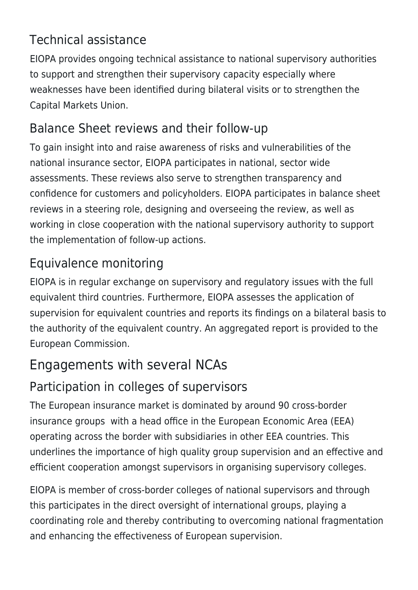#### Technical assistance

EIOPA provides ongoing technical assistance to national supervisory authorities to support and strengthen their supervisory capacity especially where weaknesses have been identified during bilateral visits or to strengthen the Capital Markets Union.

#### Balance Sheet reviews and their follow-up

To gain insight into and raise awareness of risks and vulnerabilities of the national insurance sector, EIOPA participates in national, sector wide assessments. These reviews also serve to strengthen transparency and confidence for customers and policyholders. EIOPA participates in balance sheet reviews in a steering role, designing and overseeing the review, as well as working in close cooperation with the national supervisory authority to support the implementation of follow-up actions.

#### Equivalence monitoring

EIOPA is in regular exchange on supervisory and regulatory issues with the full equivalent third countries. Furthermore, EIOPA assesses the application of supervision for equivalent countries and reports its findings on a bilateral basis to the authority of the equivalent country. An aggregated report is provided to the European Commission.

### Engagements with several NCAs

#### Participation in colleges of supervisors

The European insurance market is dominated by around 90 cross-border insurance groups with a head office in the European Economic Area (EEA) operating across the border with subsidiaries in other EEA countries. This underlines the importance of high quality group supervision and an effective and efficient cooperation amongst supervisors in organising supervisory colleges.

EIOPA is member of cross-border colleges of national supervisors and through this participates in the direct oversight of international groups, playing a coordinating role and thereby contributing to overcoming national fragmentation and enhancing the effectiveness of European supervision.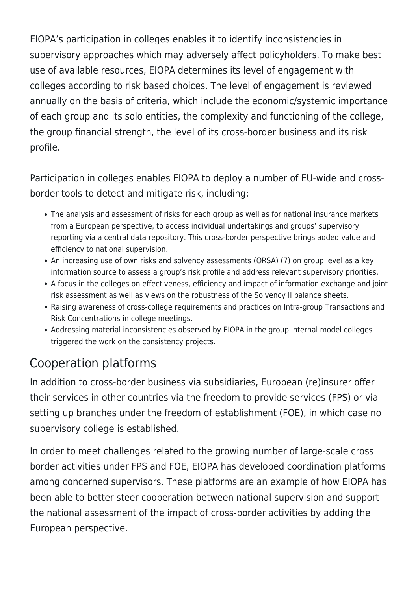EIOPA's participation in colleges enables it to identify inconsistencies in supervisory approaches which may adversely affect policyholders. To make best use of available resources, EIOPA determines its level of engagement with colleges according to risk based choices. The level of engagement is reviewed annually on the basis of criteria, which include the economic/systemic importance of each group and its solo entities, the complexity and functioning of the college, the group financial strength, the level of its cross-border business and its risk profile.

Participation in colleges enables EIOPA to deploy a number of EU-wide and crossborder tools to detect and mitigate risk, including:

- The analysis and assessment of risks for each group as well as for national insurance markets from a European perspective, to access individual undertakings and groups' supervisory reporting via a central data repository. This cross-border perspective brings added value and efficiency to national supervision.
- An increasing use of own risks and solvency assessments (ORSA) (7) on group level as a key information source to assess a group's risk profile and address relevant supervisory priorities.
- A focus in the colleges on effectiveness, efficiency and impact of information exchange and joint risk assessment as well as views on the robustness of the Solvency II balance sheets.
- Raising awareness of cross-college requirements and practices on Intra-group Transactions and Risk Concentrations in college meetings.
- Addressing material inconsistencies observed by EIOPA in the group internal model colleges triggered the work on the consistency projects.

### Cooperation platforms

In addition to cross-border business via subsidiaries, European (re)insurer offer their services in other countries via the freedom to provide services (FPS) or via setting up branches under the freedom of establishment (FOE), in which case no supervisory college is established.

In order to meet challenges related to the growing number of large-scale cross border activities under FPS and FOE, EIOPA has developed coordination platforms among concerned supervisors. These platforms are an example of how EIOPA has been able to better steer cooperation between national supervision and support the national assessment of the impact of cross-border activities by adding the European perspective.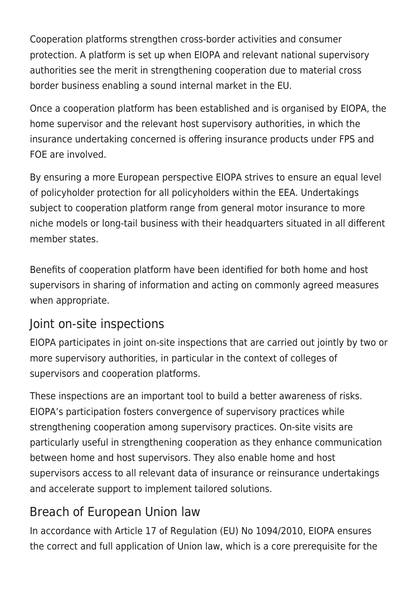Cooperation platforms strengthen cross-border activities and consumer protection. A platform is set up when EIOPA and relevant national supervisory authorities see the merit in strengthening cooperation due to material cross border business enabling a sound internal market in the EU.

Once a cooperation platform has been established and is organised by EIOPA, the home supervisor and the relevant host supervisory authorities, in which the insurance undertaking concerned is offering insurance products under FPS and FOE are involved.

By ensuring a more European perspective EIOPA strives to ensure an equal level of policyholder protection for all policyholders within the EEA. Undertakings subject to cooperation platform range from general motor insurance to more niche models or long-tail business with their headquarters situated in all different member states.

Benefits of cooperation platform have been identified for both home and host supervisors in sharing of information and acting on commonly agreed measures when appropriate.

#### Joint on-site inspections

EIOPA participates in joint on-site inspections that are carried out jointly by two or more supervisory authorities, in particular in the context of colleges of supervisors and cooperation platforms.

These inspections are an important tool to build a better awareness of risks. EIOPA's participation fosters convergence of supervisory practices while strengthening cooperation among supervisory practices. On-site visits are particularly useful in strengthening cooperation as they enhance communication between home and host supervisors. They also enable home and host supervisors access to all relevant data of insurance or reinsurance undertakings and accelerate support to implement tailored solutions.

#### Breach of European Union law

In accordance with Article 17 of Regulation (EU) No 1094/2010, EIOPA ensures the correct and full application of Union law, which is a core prerequisite for the